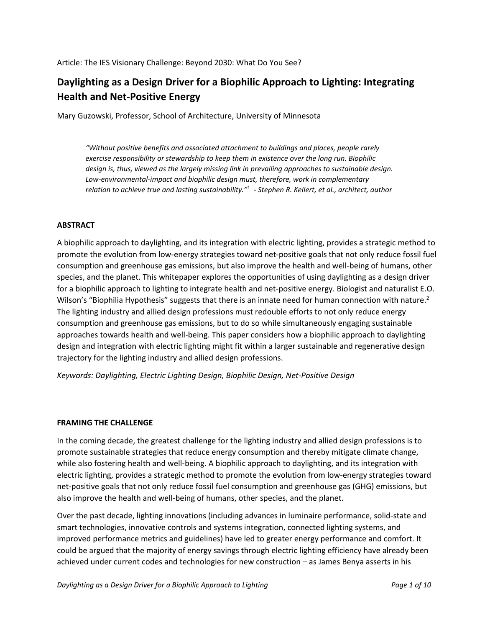# **Daylighting as a Design Driver for a Biophilic Approach to Lighting: Integrating Health and Net‐Positive Energy**

Mary Guzowski, Professor, School of Architecture, University of Minnesota

*"Without positive benefits and associated attachment to buildings and places, people rarely exercise responsibility or stewardship to keep them in existence over the long run. Biophilic design is, thus, viewed as the largely missing link in prevailing approaches to sustainable design. Low‐environmental‐impact and biophilic design must, therefore, work in complementary relation to achieve true and lasting sustainability."*<sup>1</sup> *‐ Stephen R. Kellert, et al., architect, author*

## **ABSTRACT**

A biophilic approach to daylighting, and its integration with electric lighting, provides a strategic method to promote the evolution from low‐energy strategies toward net‐positive goals that not only reduce fossil fuel consumption and greenhouse gas emissions, but also improve the health and well‐being of humans, other species, and the planet. This whitepaper explores the opportunities of using daylighting as a design driver for a biophilic approach to lighting to integrate health and net‐positive energy. Biologist and naturalist E.O. Wilson's "Biophilia Hypothesis" suggests that there is an innate need for human connection with nature.<sup>2</sup> The lighting industry and allied design professions must redouble efforts to not only reduce energy consumption and greenhouse gas emissions, but to do so while simultaneously engaging sustainable approaches towards health and well‐being. This paper considers how a biophilic approach to daylighting design and integration with electric lighting might fit within a larger sustainable and regenerative design trajectory for the lighting industry and allied design professions.

*Keywords: Daylighting, Electric Lighting Design, Biophilic Design, Net‐Positive Design*

## **FRAMING THE CHALLENGE**

In the coming decade, the greatest challenge for the lighting industry and allied design professions is to promote sustainable strategies that reduce energy consumption and thereby mitigate climate change, while also fostering health and well-being. A biophilic approach to daylighting, and its integration with electric lighting, provides a strategic method to promote the evolution from low‐energy strategies toward net‐positive goals that not only reduce fossil fuel consumption and greenhouse gas (GHG) emissions, but also improve the health and well‐being of humans, other species, and the planet.

Over the past decade, lighting innovations (including advances in luminaire performance, solid‐state and smart technologies, innovative controls and systems integration, connected lighting systems, and improved performance metrics and guidelines) have led to greater energy performance and comfort. It could be argued that the majority of energy savings through electric lighting efficiency have already been achieved under current codes and technologies for new construction – as James Benya asserts in his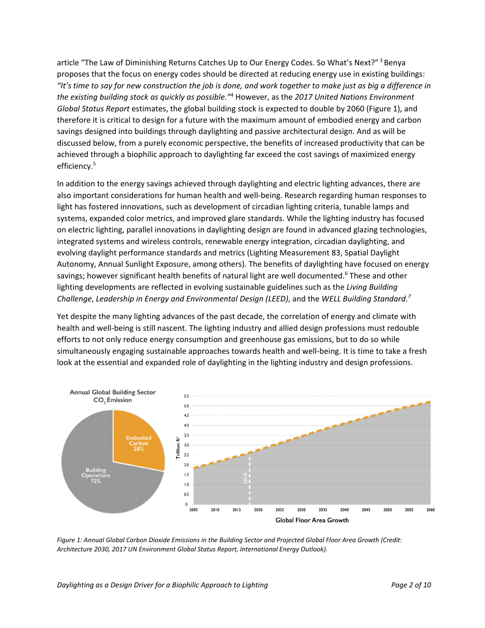article "The Law of Diminishing Returns Catches Up to Our Energy Codes. So What's Next?" 3 Benya proposes that the focus on energy codes should be directed at reducing energy use in existing buildings: "It's time to say for new construction the job is done, and work together to make just as big a difference in *the existing building stock as quickly as possible."*<sup>4</sup> However, as the *2017 United Nations Environment Global Status Report* estimates, the global building stock is expected to double by 2060 (Figure 1), and therefore it is critical to design for a future with the maximum amount of embodied energy and carbon savings designed into buildings through daylighting and passive architectural design. And as will be discussed below, from a purely economic perspective, the benefits of increased productivity that can be achieved through a biophilic approach to daylighting far exceed the cost savings of maximized energy efficiency.<sup>5</sup>

In addition to the energy savings achieved through daylighting and electric lighting advances, there are also important considerations for human health and well‐being. Research regarding human responses to light has fostered innovations, such as development of circadian lighting criteria, tunable lamps and systems, expanded color metrics, and improved glare standards. While the lighting industry has focused on electric lighting, parallel innovations in daylighting design are found in advanced glazing technologies, integrated systems and wireless controls, renewable energy integration, circadian daylighting, and evolving daylight performance standards and metrics (Lighting Measurement 83, Spatial Daylight Autonomy, Annual Sunlight Exposure, among others). The benefits of daylighting have focused on energy savings; however significant health benefits of natural light are well documented.<sup>6</sup> These and other lighting developments are reflected in evolving sustainable guidelines such as the *Living Building Challenge*, *Leadership in Energy and Environmental Design (LEED)*, and the *WELL Building Standard*. *7*

Yet despite the many lighting advances of the past decade, the correlation of energy and climate with health and well‐being is still nascent. The lighting industry and allied design professions must redouble efforts to not only reduce energy consumption and greenhouse gas emissions, but to do so while simultaneously engaging sustainable approaches towards health and well‐being. It is time to take a fresh look at the essential and expanded role of daylighting in the lighting industry and design professions.



Figure 1: Annual Global Carbon Dioxide Emissions in the Building Sector and Projected Global Floor Area Growth (Credit: *Architecture 2030, 2017 UN Environment Global Status Report, International Energy Outlook).*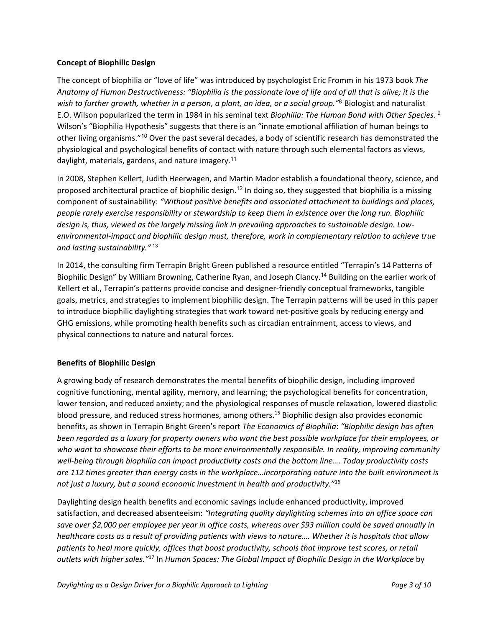## **Concept of Biophilic Design**

The concept of biophilia or "love of life" was introduced by psychologist Eric Fromm in his 1973 book *The* Anatomy of Human Destructiveness: "Biophilia is the passionate love of life and of all that is alive; it is the *wish to further growth, whether in a person, a plant, an idea, or a social group."*<sup>8</sup> Biologist and naturalist E.O. Wilson popularized the term in 1984 in his seminal text *Biophilia: The Human Bond with Other Species*. 9 Wilson's "Biophilia Hypothesis" suggests that there is an "innate emotional affiliation of human beings to other living organisms."<sup>10</sup> Over the past several decades, a body of scientific research has demonstrated the physiological and psychological benefits of contact with nature through such elemental factors as views, daylight, materials, gardens, and nature imagery.<sup>11</sup>

In 2008, Stephen Kellert, Judith Heerwagen, and Martin Mador establish a foundational theory, science, and proposed architectural practice of biophilic design.<sup>12</sup> In doing so, they suggested that biophilia is a missing component of sustainability: *"Without positive benefits and associated attachment to buildings and places, people rarely exercise responsibility or stewardship to keep them in existence over the long run. Biophilic design is, thus, viewed as the largely missing link in prevailing approaches to sustainable design. Low‐ environmental‐impact and biophilic design must, therefore, work in complementary relation to achieve true and lasting sustainability."*<sup>13</sup>

In 2014, the consulting firm Terrapin Bright Green published a resource entitled "Terrapin's 14 Patterns of Biophilic Design" by William Browning, Catherine Ryan, and Joseph Clancy.<sup>14</sup> Building on the earlier work of Kellert et al., Terrapin's patterns provide concise and designer-friendly conceptual frameworks, tangible goals, metrics, and strategies to implement biophilic design. The Terrapin patterns will be used in this paper to introduce biophilic daylighting strategies that work toward net‐positive goals by reducing energy and GHG emissions, while promoting health benefits such as circadian entrainment, access to views, and physical connections to nature and natural forces.

# **Benefits of Biophilic Design**

A growing body of research demonstrates the mental benefits of biophilic design, including improved cognitive functioning, mental agility, memory, and learning; the psychological benefits for concentration, lower tension, and reduced anxiety; and the physiological responses of muscle relaxation, lowered diastolic blood pressure, and reduced stress hormones, among others.15 Biophilic design also provides economic benefits, as shown in Terrapin Bright Green's report *The Economics of Biophilia*: *"Biophilic design has often* been regarded as a luxury for property owners who want the best possible workplace for their employees, or *who want to showcase their efforts to be more environmentally responsible. In reality, improving community well‐being through biophilia can impact productivity costs and the bottom line…. Today productivity costs are 112 times greater than energy costs in the workplace…incorporating nature into the built environment is not just a luxury, but a sound economic investment in health and productivity."*<sup>16</sup>

Daylighting design health benefits and economic savings include enhanced productivity, improved satisfaction, and decreased absenteeism: *"Integrating quality daylighting schemes into an office space can* save over \$2,000 per employee per year in office costs, whereas over \$93 million could be saved annually in healthcare costs as a result of providing patients with views to nature.... Whether it is hospitals that allow *patients to heal more quickly, offices that boost productivity, schools that improve test scores, or retail outlets with higher sales."*<sup>17</sup> In *Human Spaces: The Global Impact of Biophilic Design in the Workplace* by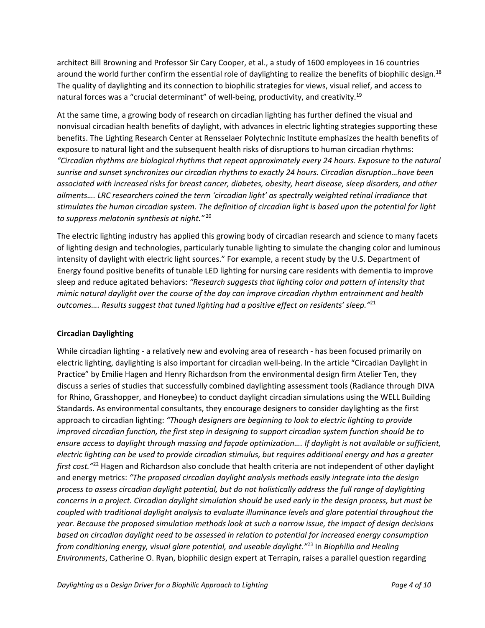architect Bill Browning and Professor Sir Cary Cooper, et al., a study of 1600 employees in 16 countries around the world further confirm the essential role of daylighting to realize the benefits of biophilic design.<sup>18</sup> The quality of daylighting and its connection to biophilic strategies for views, visual relief, and access to natural forces was a "crucial determinant" of well-being, productivity, and creativity.<sup>19</sup>

At the same time, a growing body of research on circadian lighting has further defined the visual and nonvisual circadian health benefits of daylight, with advances in electric lighting strategies supporting these benefits. The Lighting Research Center at Rensselaer Polytechnic Institute emphasizes the health benefits of exposure to natural light and the subsequent health risks of disruptions to human circadian rhythms: *"Circadian rhythms are biological rhythms that repeat approximately every 24 hours. Exposure to the natural sunrise and sunset synchronizes our circadian rhythms to exactly 24 hours. Circadian disruption…have been associated with increased risks for breast cancer, diabetes, obesity, heart disease, sleep disorders, and other ailments…. LRC researchers coined the term 'circadian light' as spectrally weighted retinal irradiance that* stimulates the human circadian system. The definition of circadian light is based upon the potential for light *to suppress melatonin synthesis at night."* <sup>20</sup>

The electric lighting industry has applied this growing body of circadian research and science to many facets of lighting design and technologies, particularly tunable lighting to simulate the changing color and luminous intensity of daylight with electric light sources." For example, a recent study by the U.S. Department of Energy found positive benefits of tunable LED lighting for nursing care residents with dementia to improve sleep and reduce agitated behaviors: *"Research suggests that lighting color and pattern of intensity that mimic natural daylight over the course of the day can improve circadian rhythm entrainment and health outcomes…. Results suggest that tuned lighting had a positive effect on residents' sleep."*<sup>21</sup>

# **Circadian Daylighting**

While circadian lighting - a relatively new and evolving area of research - has been focused primarily on electric lighting, daylighting is also important for circadian well‐being. In the article "Circadian Daylight in Practice" by Emilie Hagen and Henry Richardson from the environmental design firm Atelier Ten, they discuss a series of studies that successfully combined daylighting assessment tools (Radiance through DIVA for Rhino, Grasshopper, and Honeybee) to conduct daylight circadian simulations using the WELL Building Standards. As environmental consultants, they encourage designers to consider daylighting as the first approach to circadian lighting: *"Though designers are beginning to look to electric lighting to provide improved circadian function, the first step in designing to support circadian system function should be to ensure access to daylight through massing and façade optimization…. If daylight is not available or sufficient,* electric lighting can be used to provide circadian stimulus, but requires additional energy and has a greater *first cost."*<sup>22</sup> Hagen and Richardson also conclude that health criteria are not independent of other daylight and energy metrics: *"The proposed circadian daylight analysis methods easily integrate into the design process to assess circadian daylight potential, but do not holistically address the full range of daylighting* concerns in a project. Circadian daylight simulation should be used early in the design process, but must be *coupled with traditional daylight analysis to evaluate illuminance levels and glare potential throughout the year. Because the proposed simulation methods look at such a narrow issue, the impact of design decisions based on circadian daylight need to be assessed in relation to potential for increased energy consumption from conditioning energy, visual glare potential, and useable daylight."*<sup>23</sup> In *Biophilia and Healing Environments*, Catherine O. Ryan, biophilic design expert at Terrapin, raises a parallel question regarding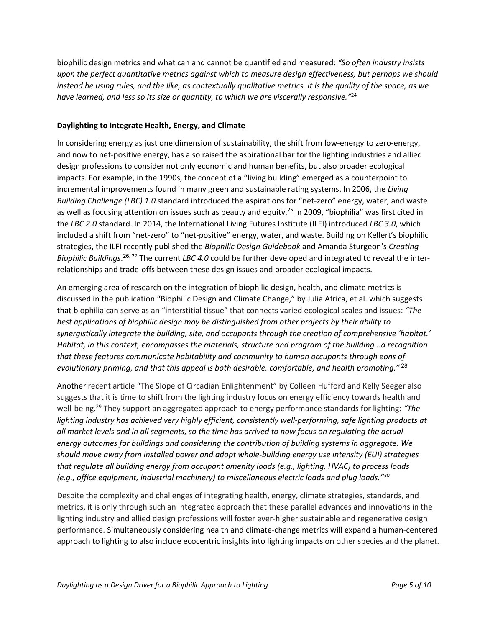biophilic design metrics and what can and cannot be quantified and measured: *"So often industry insists upon the perfect quantitative metrics against which to measure design effectiveness, but perhaps we should* instead be using rules, and the like, as contextually qualitative metrics. It is the quality of the space, as we *have learned, and less so its size or quantity, to which we are viscerally responsive."*<sup>24</sup>

## **Daylighting to Integrate Health, Energy, and Climate**

In considering energy as just one dimension of sustainability, the shift from low-energy to zero-energy, and now to net‐positive energy, has also raised the aspirational bar for the lighting industries and allied design professions to consider not only economic and human benefits, but also broader ecological impacts. For example, in the 1990s, the concept of a "living building" emerged as a counterpoint to incremental improvements found in many green and sustainable rating systems. In 2006, the *Living Building Challenge (LBC) 1.0* standard introduced the aspirations for "net‐zero" energy, water, and waste as well as focusing attention on issues such as beauty and equity.<sup>25</sup> In 2009, "biophilia" was first cited in the *LBC 2.0* standard. In 2014, the International Living Futures Institute (ILFI) introduced *LBC 3.0*, which included a shift from "net‐zero" to "net‐positive" energy, water, and waste. Building on Kellert's biophilic strategies, the ILFI recently published the *Biophilic Design Guidebook* and Amanda Sturgeon's *Creating Biophilic Buildings*. <sup>26</sup>, <sup>27</sup> The current *LBC 4.0* could be further developed and integrated to reveal the inter‐ relationships and trade‐offs between these design issues and broader ecological impacts.

An emerging area of research on the integration of biophilic design, health, and climate metrics is discussed in the publication "Biophilic Design and Climate Change," by Julia Africa, et al. which suggests that biophilia can serve as an "interstitial tissue" that connects varied ecological scales and issues: *"The best applications of biophilic design may be distinguished from other projects by their ability to synergistically integrate the building, site, and occupants through the creation of comprehensive 'habitat.' Habitat, in this context, encompasses the materials, structure and program of the building...a recognition that these features communicate habitability and community to human occupants through eons of evolutionary priming, and that this appeal is both desirable, comfortable, and health promoting."*<sup>28</sup>

Another recent article "The Slope of Circadian Enlightenment" by Colleen Hufford and Kelly Seeger also suggests that it is time to shift from the lighting industry focus on energy efficiency towards health and well‐being.29 They support an aggregated approach to energy performance standards for lighting: *"The lighting industry has achieved very highly efficient, consistently well‐performing, safe lighting products at* all market levels and in all segments, so the time has arrived to now focus on regulating the actual *energy outcomes for buildings and considering the contribution of building systems in aggregate. We should move away from installed power and adopt whole‐building energy use intensity (EUI) strategies that regulate all building energy from occupant amenity loads (e.g., lighting, HVAC) to process loads (e.g., office equipment, industrial machinery) to miscellaneous electric loads and plug loads."30*

Despite the complexity and challenges of integrating health, energy, climate strategies, standards, and metrics, it is only through such an integrated approach that these parallel advances and innovations in the lighting industry and allied design professions will foster ever-higher sustainable and regenerative design performance. Simultaneously considering health and climate‐change metrics will expand a human‐centered approach to lighting to also include ecocentric insights into lighting impacts on other species and the planet.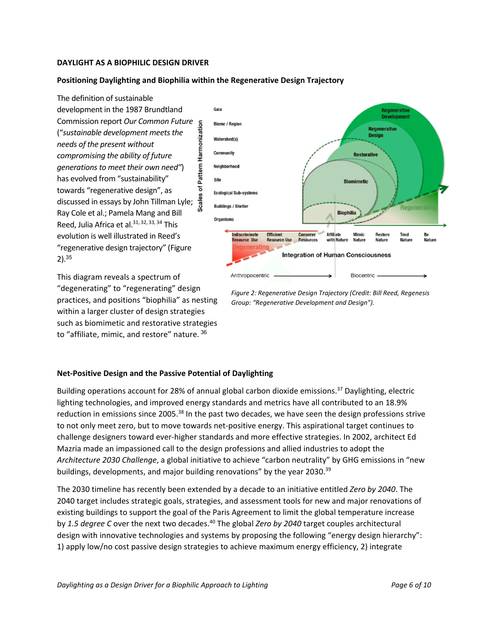## **DAYLIGHT AS A BIOPHILIC DESIGN DRIVER**

#### **Positioning Daylighting and Biophilia within the Regenerative Design Trajectory**

The definition of sustainable development in the 1987 Brundtland Commission report *Our Common Future* ("*sustainable development meetsthe needs of the present without compromising the ability of future generationsto meet their own need"*) has evolved from "sustainability" towards "regenerative design", as discussed in essays by John Tillman Lyle; Ray Cole et al.; Pamela Mang and Bill Reed, Julia Africa et al.<sup>31, 32, 33, 34</sup> This evolution is well illustrated in Reed's "regenerative design trajectory" (Figure 2).<sup>35</sup>

This diagram reveals a spectrum of "degenerating" to "regenerating" design practices, and positions "biophilia" as nesting within a larger cluster of design strategies such as biomimetic and restorative strategies to "affiliate, mimic, and restore" nature. 36



*Figure 2: Regenerative Design Trajectory (Credit: Bill Reed, Regenesis Group: "Regenerative Development and Design").*

#### **Net‐Positive Design and the Passive Potential of Daylighting**

Building operations account for 28% of annual global carbon dioxide emissions.<sup>37</sup> Daylighting, electric lighting technologies, and improved energy standards and metrics have all contributed to an 18.9% reduction in emissions since 2005.<sup>38</sup> In the past two decades, we have seen the design professions strive to not only meet zero, but to move towards net‐positive energy. This aspirational target continues to challenge designers toward ever‐higher standards and more effective strategies. In 2002, architect Ed Mazria made an impassioned call to the design professions and allied industries to adopt the *Architecture 2030 Challenge*, a global initiative to achieve "carbon neutrality" by GHG emissions in "new buildings, developments, and major building renovations" by the year 2030.<sup>39</sup>

The 2030 timeline has recently been extended by a decade to an initiative entitled *Zero by 2040*. The 2040 target includes strategic goals, strategies, and assessment tools for new and major renovations of existing buildings to support the goal of the Paris Agreement to limit the global temperature increase by *1.5 degree C* over the next two decades.40 The global *Zero by 2040* target couples architectural design with innovative technologies and systems by proposing the following "energy design hierarchy": 1) apply low/no cost passive design strategies to achieve maximum energy efficiency, 2) integrate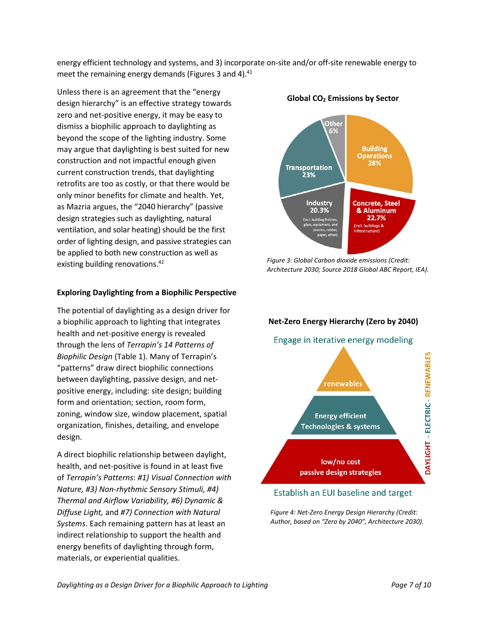energy efficient technology and systems, and 3) incorporate on‐site and/or off‐site renewable energy to meet the remaining energy demands (Figures 3 and 4).<sup>41</sup>

Unless there is an agreement that the "energy design hierarchy" is an effective strategy towards zero and net‐positive energy, it may be easy to dismiss a biophilic approach to daylighting as beyond the scope of the lighting industry. Some may argue that daylighting is best suited for new construction and not impactful enough given current construction trends, that daylighting retrofits are too as costly, or that there would be only minor benefits for climate and health. Yet, as Mazria argues, the "2040 hierarchy" (passive design strategies such as daylighting, natural ventilation, and solar heating) should be the first order of lighting design, and passive strategies can be applied to both new construction as well as existing building renovations.<sup>42</sup>

#### **Exploring Daylighting from a Biophilic Perspective**

The potential of daylighting as a design driver for a biophilic approach to lighting that integrates health and net‐positive energy is revealed through the lens of *Terrapin's 14 Patterns of Biophilic Design* (Table 1). Many of Terrapin's "patterns" draw direct biophilic connections between daylighting, passive design, and net‐ positive energy, including: site design; building form and orientation; section, room form, zoning, window size, window placement, spatial organization, finishes, detailing, and envelope design.

A direct biophilic relationship between daylight, health, and net‐positive is found in at least five of *Terrapin's Patterns*: *#1) Visual Connection with Nature, #3) Non‐rhythmic Sensory Stimuli, #4) Thermal and Airflow Variability, #6) Dynamic & Diffuse Light,* and *#7) Connection with Natural Systems*. Each remaining pattern has at least an indirect relationship to support the health and energy benefits of daylighting through form, materials, or experiential qualities.





*Figure 3: Global Carbon dioxide emissions (Credit: Architecture 2030; Source 2018 Global ABC Report, IEA).*



# Establish an EUI baseline and target

*Figure 4: Net‐Zero Energy Design Hierarchy (Credit: Author, based on "Zero by 2040", Architecture 2030).*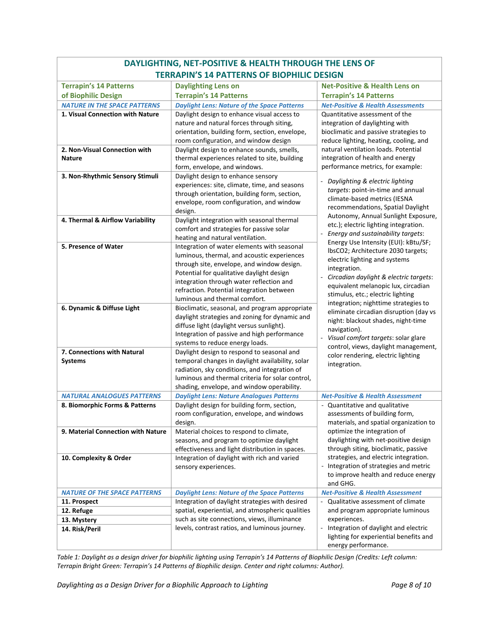| DAYLIGHTING, NET-POSITIVE & HEALTH THROUGH THE LENS OF |                                                                                                |                                                                              |
|--------------------------------------------------------|------------------------------------------------------------------------------------------------|------------------------------------------------------------------------------|
| <b>TERRAPIN'S 14 PATTERNS OF BIOPHILIC DESIGN</b>      |                                                                                                |                                                                              |
| <b>Terrapin's 14 Patterns</b>                          | <b>Daylighting Lens on</b>                                                                     | <b>Net-Positive &amp; Health Lens on</b>                                     |
| of Biophilic Design                                    | <b>Terrapin's 14 Patterns</b>                                                                  | <b>Terrapin's 14 Patterns</b>                                                |
| <b>NATURE IN THE SPACE PATTERNS</b>                    | <b>Daylight Lens: Nature of the Space Patterns</b>                                             | <b>Net-Positive &amp; Health Assessments</b>                                 |
| 1. Visual Connection with Nature                       | Daylight design to enhance visual access to                                                    | Quantitative assessment of the                                               |
|                                                        | nature and natural forces through siting,                                                      | integration of daylighting with                                              |
|                                                        | orientation, building form, section, envelope,                                                 | bioclimatic and passive strategies to                                        |
|                                                        | room configuration, and window design                                                          | reduce lighting, heating, cooling, and                                       |
| 2. Non-Visual Connection with<br><b>Nature</b>         | Daylight design to enhance sounds, smells,<br>thermal experiences related to site, building    | natural ventilation loads. Potential<br>integration of health and energy     |
|                                                        | form, envelope, and windows.                                                                   | performance metrics, for example:                                            |
| 3. Non-Rhythmic Sensory Stimuli                        | Daylight design to enhance sensory                                                             |                                                                              |
|                                                        | experiences: site, climate, time, and seasons                                                  | Daylighting & electric lighting                                              |
|                                                        | through orientation, building form, section,                                                   | targets: point-in-time and annual                                            |
|                                                        | envelope, room configuration, and window                                                       | climate-based metrics (IESNA                                                 |
|                                                        | design.                                                                                        | recommendations, Spatial Daylight                                            |
| 4. Thermal & Airflow Variability                       | Daylight integration with seasonal thermal                                                     | Autonomy, Annual Sunlight Exposure,<br>etc.); electric lighting integration. |
|                                                        | comfort and strategies for passive solar                                                       | Energy and sustainability targets:                                           |
|                                                        | heating and natural ventilation.                                                               | Energy Use Intensity (EUI): kBtu/SF;                                         |
| 5. Presence of Water                                   | Integration of water elements with seasonal                                                    | IbsCO2; Architecture 2030 targets;                                           |
|                                                        | luminous, thermal, and acoustic experiences                                                    | electric lighting and systems                                                |
|                                                        | through site, envelope, and window design.                                                     | integration.                                                                 |
|                                                        | Potential for qualitative daylight design<br>integration through water reflection and          | Circadian daylight & electric targets:<br>÷,                                 |
|                                                        | refraction. Potential integration between                                                      | equivalent melanopic lux, circadian                                          |
|                                                        | luminous and thermal comfort.                                                                  | stimulus, etc.; electric lighting                                            |
| 6. Dynamic & Diffuse Light                             | Bioclimatic, seasonal, and program appropriate                                                 | integration; nighttime strategies to                                         |
|                                                        | daylight strategies and zoning for dynamic and                                                 | eliminate circadian disruption (day vs                                       |
|                                                        | diffuse light (daylight versus sunlight).                                                      | night: blackout shades, night-time<br>navigation).                           |
|                                                        | Integration of passive and high performance                                                    | Visual comfort targets: solar glare                                          |
|                                                        | systems to reduce energy loads.                                                                | control, views, daylight management,                                         |
| 7. Connections with Natural                            | Daylight design to respond to seasonal and                                                     | color rendering, electric lighting                                           |
| <b>Systems</b>                                         | temporal changes in daylight availability, solar                                               | integration.                                                                 |
|                                                        | radiation, sky conditions, and integration of                                                  |                                                                              |
|                                                        | luminous and thermal criteria for solar control,<br>shading, envelope, and window operability. |                                                                              |
| <b>NATURAL ANALOGUES PATTERNS</b>                      | <b>Daylight Lens: Nature Analogues Patterns</b>                                                | <b>Net-Positive &amp; Health Assessment</b>                                  |
| 8. Biomorphic Forms & Patterns                         | Daylight design for building form, section,                                                    | - Quantitative and qualitative                                               |
|                                                        | room configuration, envelope, and windows                                                      | assessments of building form,                                                |
|                                                        | design.                                                                                        | materials, and spatial organization to                                       |
| 9. Material Connection with Nature                     | Material choices to respond to climate,                                                        | optimize the integration of                                                  |
|                                                        | seasons, and program to optimize daylight                                                      | daylighting with net-positive design                                         |
|                                                        | effectiveness and light distribution in spaces.                                                | through siting, bioclimatic, passive                                         |
| 10. Complexity & Order                                 | Integration of daylight with rich and varied                                                   | strategies, and electric integration.                                        |
|                                                        | sensory experiences.                                                                           | Integration of strategies and metric                                         |
|                                                        |                                                                                                | to improve health and reduce energy                                          |
| <b>NATURE OF THE SPACE PATTERNS</b>                    | <b>Daylight Lens: Nature of the Space Patterns</b>                                             | and GHG.<br><b>Net-Positive &amp; Health Assessment</b>                      |
| 11. Prospect                                           | Integration of daylight strategies with desired                                                | Qualitative assessment of climate                                            |
| 12. Refuge                                             | spatial, experiential, and atmospheric qualities                                               | and program appropriate luminous                                             |
| 13. Mystery                                            | such as site connections, views, illuminance                                                   | experiences.                                                                 |
| 14. Risk/Peril                                         | levels, contrast ratios, and luminous journey.                                                 | Integration of daylight and electric                                         |
|                                                        |                                                                                                | lighting for experiential benefits and                                       |
|                                                        |                                                                                                | energy performance.                                                          |

Table 1: Daylight as a design driver for biophilic lighting using Terrapin's 14 Patterns of Biophilic Design (Credits: Left column: *Terrapin Bright Green: Terrapin's 14 Patterns of Biophilic design. Center and right columns: Author).*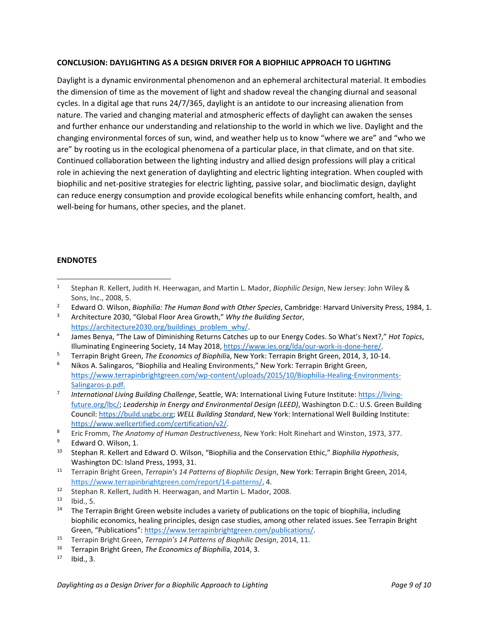#### **CONCLUSION: DAYLIGHTING AS A DESIGN DRIVER FOR A BIOPHILIC APPROACH TO LIGHTING**

Daylight is a dynamic environmental phenomenon and an ephemeral architectural material. It embodies the dimension of time as the movement of light and shadow reveal the changing diurnal and seasonal cycles. In a digital age that runs 24/7/365, daylight is an antidote to our increasing alienation from nature. The varied and changing material and atmospheric effects of daylight can awaken the senses and further enhance our understanding and relationship to the world in which we live. Daylight and the changing environmental forces of sun, wind, and weather help us to know "where we are" and "who we are" by rooting us in the ecological phenomena of a particular place, in that climate, and on that site. Continued collaboration between the lighting industry and allied design professions will play a critical role in achieving the next generation of daylighting and electric lighting integration. When coupled with biophilic and net‐positive strategies for electric lighting, passive solar, and bioclimatic design, daylight can reduce energy consumption and provide ecological benefits while enhancing comfort, health, and well-being for humans, other species, and the planet.

#### **ENDNOTES**

2 Edward O. Wilson, *Biophilia: The Human Bond with Other Species*, Cambridge: Harvard University Press, 1984, 1.

<sup>1</sup> Stephan R. Kellert, Judith H. Heerwagan, and Martin L. Mador, *Biophilic Design*, New Jersey: John Wiley & Sons, Inc., 2008, 5.

<sup>3</sup> Architecture 2030, "Global Floor Area Growth," *Why the Building Sector*, https://architecture2030.org/buildings\_problem\_why/

<sup>4</sup> James Benya, "The Law of Diminishing Returns Catches up to our Energy Codes. So What's Next?," *Hot Topics*, Illuminating Engineering Society, 14 May 2018, https://www.ies.org/lda/our‐work‐is‐done‐here/.

<sup>5</sup> Terrapin Bright Green, *The Economics of Biophili*a, New York: Terrapin Bright Green, 2014, 3, 10‐14.

<sup>6</sup> Nikos A. Salingaros, "Biophilia and Healing Environments," New York: Terrapin Bright Green, https://www.terrapinbrightgreen.com/wp-content/uploads/2015/10/Biophilia-Healing-Environments-Salingaros‐p.pdf.

<sup>7</sup> *International Living Building Challenge*, Seattle, WA: International Living Future Institute: https://living‐ future.org/lbc/; *Leadership in Energy and Environmental Design (LEED)*, Washington D.C.: U.S. Green Building Council: https://build.usgbc.org; *WELL Building Standard*, New York: International Well Building Institute: https://www.wellcertified.com/certification/v2/.

<sup>8</sup> Eric Fromm, *The Anatomy of Human Destructiveness*, New York: Holt Rinehart and Winston, 1973, 377.

<sup>9</sup> Edward O. Wilson, 1.

<sup>10</sup> Stephan R. Kellert and Edward O. Wilson, "Biophilia and the Conservation Ethic," *Biophilia Hypothesis*, Washington DC: Island Press, 1993, 31.

<sup>11</sup> Terrapin Bright Green, *Terrapin's 14 Patterns of Biophilic Design*, New York: Terrapin Bright Green, 2014, https://www.terrapinbrightgreen.com/report/14‐patterns/, 4.

<sup>&</sup>lt;sup>12</sup> Stephan R. Kellert, Judith H. Heerwagan, and Martin L. Mador, 2008.<br><sup>13</sup> Jhid F

Ibid., 5.

<sup>&</sup>lt;sup>14</sup> The Terrapin Bright Green website includes a variety of publications on the topic of biophilia, including biophilic economics, healing principles, design case studies, among other related issues. See Terrapin Bright Green, "Publications": https://www.terrapinbrightgreen.com/publications/.

<sup>15</sup> Terrapin Bright Green, *Terrapin's 14 Patterns of Biophilic Design*, 2014, 11.

<sup>16</sup> Terrapin Bright Green, *The Economics of Biophili*a, 2014, 3.

Ibid., 3.